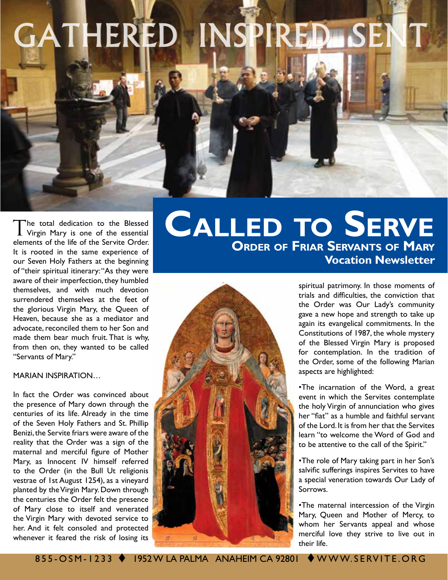# GATHERED INSPIRED SEN

The total dedication to the Blessed Virgin Mary is one of the essential elements of the life of the Servite Order. It is rooted in the same experience of our Seven Holy Fathers at the beginning of "their spiritual itinerary: "As they were aware of their imperfection, they humbled themselves, and with much devotion surrendered themselves at the feet of the glorious Virgin Mary, the Queen of Heaven, because she as a mediator and advocate, reconciled them to her Son and made them bear much fruit. That is why, from then on, they wanted to be called "Servants of Mary."

#### MARIAN INSPIRATION…

In fact the Order was convinced about the presence of Mary down through the centuries of its life. Already in the time of the Seven Holy Fathers and St. Phillip Benizi, the Servite friars were aware of the reality that the Order was a sign of the maternal and merciful figure of Mother Mary, as Innocent IV himself referred to the Order (in the Bull Ut religionis vestrae of 1st August 1254), as a vineyard planted by the Virgin Mary. Down through the centuries the Order felt the presence of Mary close to itself and venerated the Virgin Mary with devoted service to her. And it felt consoled and protected whenever it feared the risk of losing its

## **Order of Friar Servants of Mary Vocation Newsletter Called to Serve**



spiritual patrimony. In those moments of trials and difficulties, the conviction that the Order was Our Lady's community gave a new hope and strength to take up again its evangelical commitments. In the Constitutions of 1987, the whole mystery of the Blessed Virgin Mary is proposed for contemplation. In the tradition of the Order, some of the following Marian aspects are highlighted:

•The incarnation of the Word, a great event in which the Servites contemplate the holy Virgin of annunciation who gives her "fiat" as a humble and faithful servant of the Lord. It is from her that the Servites learn "to welcome the Word of God and to be attentive to the call of the Spirit."

•The role of Mary taking part in her Son's salvific sufferings inspires Servites to have a special veneration towards Our Lady of Sorrows.

•The maternal intercession of the Virgin Mary, Queen and Mother of Mercy, to whom her Servants appeal and whose merciful love they strive to live out in their life.